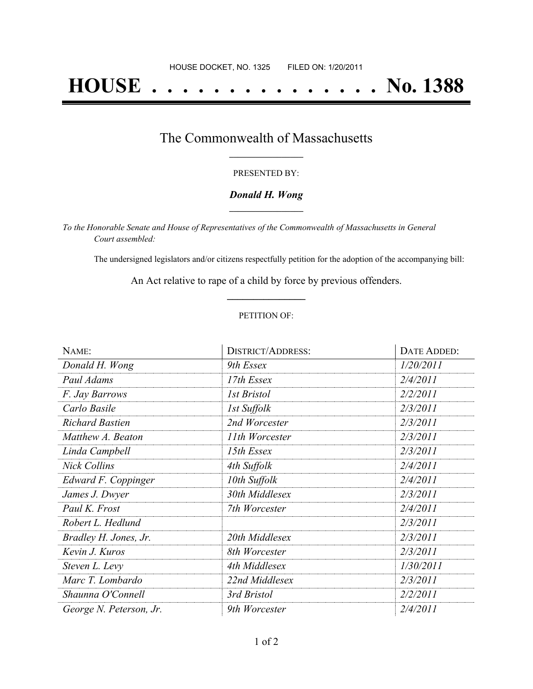# **HOUSE . . . . . . . . . . . . . . . No. 1388**

### The Commonwealth of Massachusetts **\_\_\_\_\_\_\_\_\_\_\_\_\_\_\_\_\_**

#### PRESENTED BY:

#### *Donald H. Wong* **\_\_\_\_\_\_\_\_\_\_\_\_\_\_\_\_\_**

*To the Honorable Senate and House of Representatives of the Commonwealth of Massachusetts in General Court assembled:*

The undersigned legislators and/or citizens respectfully petition for the adoption of the accompanying bill:

An Act relative to rape of a child by force by previous offenders. **\_\_\_\_\_\_\_\_\_\_\_\_\_\_\_**

#### PETITION OF:

| NAME:                   | <b>DISTRICT/ADDRESS:</b> | DATE ADDED: |
|-------------------------|--------------------------|-------------|
| Donald H. Wong          | 9th Essex                | 1/20/2011   |
| Paul Adams              | 17th Essex               | 2/4/2011    |
| F. Jay Barrows          | <b>1st Bristol</b>       | 2/2/2011    |
| Carlo Basile            | 1st Suffolk              | 2/3/2011    |
| <b>Richard Bastien</b>  | 2nd Worcester            | 2/3/2011    |
| Matthew A. Beaton       | 11th Worcester           | 2/3/2011    |
| Linda Campbell          | 15th Essex               | 2/3/2011    |
| <b>Nick Collins</b>     | 4th Suffolk              | 2/4/2011    |
| Edward F. Coppinger     | 10th Suffolk             | 2/4/2011    |
| James J. Dwyer          | 30th Middlesex           | 2/3/2011    |
| Paul K. Frost           | 7th Worcester            | 2/4/2011    |
| Robert L. Hedlund       |                          | 2/3/2011    |
| Bradley H. Jones, Jr.   | 20th Middlesex           | 2/3/2011    |
| Kevin J. Kuros          | 8th Worcester            | 2/3/2011    |
| Steven L. Levy          | 4th Middlesex            | 1/30/2011   |
| Marc T. Lombardo        | 22nd Middlesex           | 2/3/2011    |
| Shaunna O'Connell       | 3rd Bristol              | 2/2/2011    |
| George N. Peterson, Jr. | 9th Worcester            | 2/4/2011    |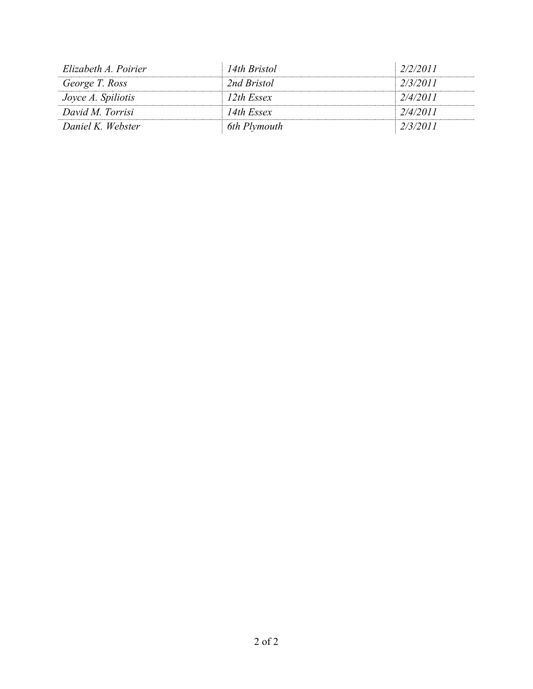| 14th Bristol  | 2/2/2011 |
|---------------|----------|
| 2nd Bristol   | 2/3/2011 |
| $12$ th Essex | 2/4/2011 |
| 14th Essex    | 2/4/2011 |
| 6th Plymouth  | 2/3/2011 |
|               |          |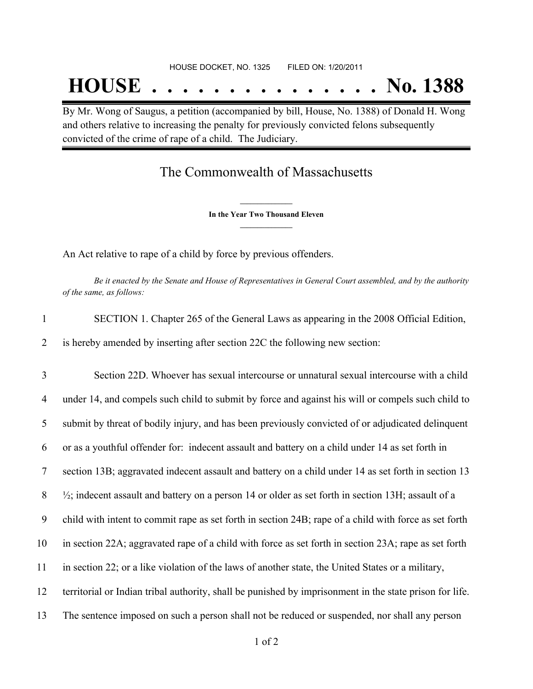By Mr. Wong of Saugus, a petition (accompanied by bill, House, No. 1388) of Donald H. Wong and others relative to increasing the penalty for previously convicted felons subsequently convicted of the crime of rape of a child. The Judiciary.

## The Commonwealth of Massachusetts

**\_\_\_\_\_\_\_\_\_\_\_\_\_\_\_ In the Year Two Thousand Eleven \_\_\_\_\_\_\_\_\_\_\_\_\_\_\_**

An Act relative to rape of a child by force by previous offenders.

Be it enacted by the Senate and House of Representatives in General Court assembled, and by the authority *of the same, as follows:*

| $\mathbf{1}$     | SECTION 1. Chapter 265 of the General Laws as appearing in the 2008 Official Edition,                          |  |
|------------------|----------------------------------------------------------------------------------------------------------------|--|
| 2                | is hereby amended by inserting after section 22C the following new section:                                    |  |
| 3                | Section 22D. Whoever has sexual intercourse or unnatural sexual intercourse with a child                       |  |
| 4                | under 14, and compels such child to submit by force and against his will or compels such child to              |  |
| 5                | submit by threat of bodily injury, and has been previously convicted of or adjudicated delinquent              |  |
| 6                | or as a youthful offender for: indecent assault and battery on a child under 14 as set forth in                |  |
| $\tau$           | section 13B; aggravated indecent assault and battery on a child under 14 as set forth in section 13            |  |
| 8                | $\frac{1}{2}$ ; indecent assault and battery on a person 14 or older as set forth in section 13H; assault of a |  |
| $\boldsymbol{9}$ | child with intent to commit rape as set forth in section 24B; rape of a child with force as set forth          |  |
| 10               | in section 22A; aggravated rape of a child with force as set forth in section 23A; rape as set forth           |  |
| 11               | in section 22; or a like violation of the laws of another state, the United States or a military,              |  |
| 12               | territorial or Indian tribal authority, shall be punished by imprisonment in the state prison for life.        |  |
| 13               | The sentence imposed on such a person shall not be reduced or suspended, nor shall any person                  |  |
|                  | $1 \text{ of } 2$                                                                                              |  |